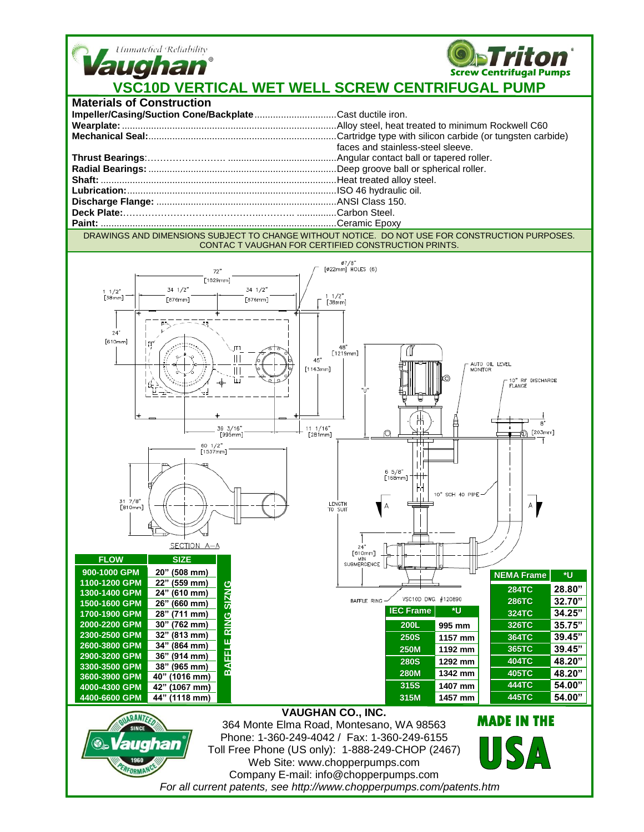